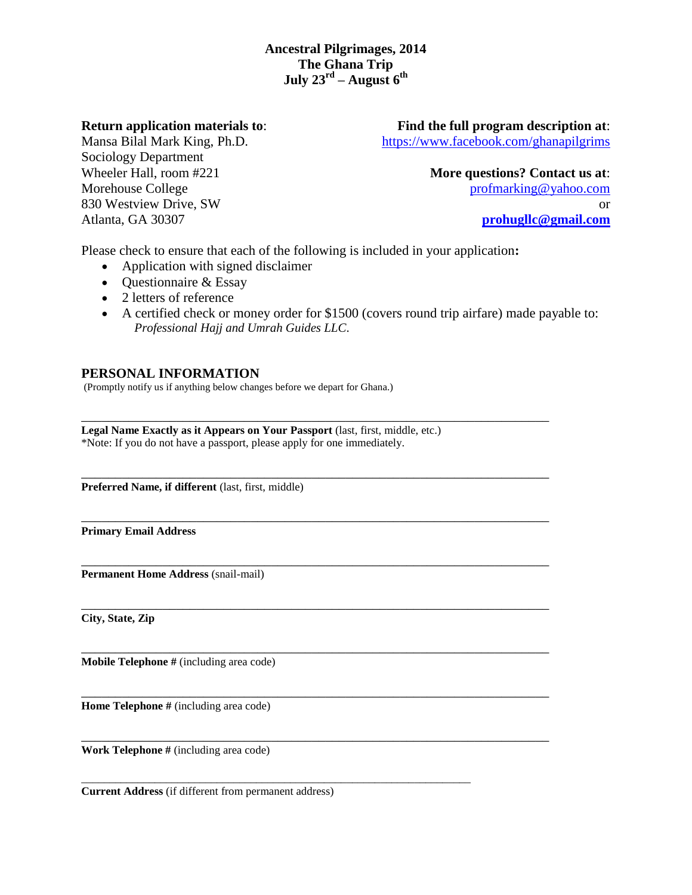**Return application materials to**:

Mansa Bilal Mark King, Ph.D. Sociology Department Wheeler Hall, room #221 Morehouse College 830 Westview Drive, SW Atlanta, GA 30307

**Find the full program description at**: <https://www.facebook.com/ghanapilgrims>

> **More questions? Contact us at**: [profmarking@yahoo.com](mailto:profmarking@yahoo.com) or **[prohugllc@gmail.com](mailto:prohugllc@gmail.com)**

Please check to ensure that each of the following is included in your application**:** 

\_\_\_\_\_\_\_\_\_\_\_\_\_\_\_\_\_\_\_\_\_\_\_\_\_\_\_\_\_\_\_\_\_\_\_\_\_\_\_\_\_\_\_\_\_\_\_\_\_\_\_\_\_\_\_\_\_\_\_\_\_\_\_\_\_\_\_\_\_

\_\_\_\_\_\_\_\_\_\_\_\_\_\_\_\_\_\_\_\_\_\_\_\_\_\_\_\_\_\_\_\_\_\_\_\_\_\_\_\_\_\_\_\_\_\_\_\_\_\_\_\_\_\_\_\_\_\_\_\_\_\_\_\_\_\_\_\_\_

\_\_\_\_\_\_\_\_\_\_\_\_\_\_\_\_\_\_\_\_\_\_\_\_\_\_\_\_\_\_\_\_\_\_\_\_\_\_\_\_\_\_\_\_\_\_\_\_\_\_\_\_\_\_\_\_\_\_\_\_\_\_\_\_\_\_\_\_\_

\_\_\_\_\_\_\_\_\_\_\_\_\_\_\_\_\_\_\_\_\_\_\_\_\_\_\_\_\_\_\_\_\_\_\_\_\_\_\_\_\_\_\_\_\_\_\_\_\_\_\_\_\_\_\_\_\_\_\_\_\_\_\_\_\_\_\_\_\_

\_\_\_\_\_\_\_\_\_\_\_\_\_\_\_\_\_\_\_\_\_\_\_\_\_\_\_\_\_\_\_\_\_\_\_\_\_\_\_\_\_\_\_\_\_\_\_\_\_\_\_\_\_\_\_\_\_\_\_\_\_\_\_\_\_\_\_\_\_

\_\_\_\_\_\_\_\_\_\_\_\_\_\_\_\_\_\_\_\_\_\_\_\_\_\_\_\_\_\_\_\_\_\_\_\_\_\_\_\_\_\_\_\_\_\_\_\_\_\_\_\_\_\_\_\_\_\_\_\_\_\_\_\_\_\_\_\_\_

\_\_\_\_\_\_\_\_\_\_\_\_\_\_\_\_\_\_\_\_\_\_\_\_\_\_\_\_\_\_\_\_\_\_\_\_\_\_\_\_\_\_\_\_\_\_\_\_\_\_\_\_\_\_\_\_\_\_\_\_\_\_\_\_\_\_\_\_\_

\_\_\_\_\_\_\_\_\_\_\_\_\_\_\_\_\_\_\_\_\_\_\_\_\_\_\_\_\_\_\_\_\_\_\_\_\_\_\_\_\_\_\_\_\_\_\_\_\_\_\_\_\_\_\_\_\_\_\_\_\_\_\_\_\_\_\_\_\_

\_\_\_\_\_\_\_\_\_\_\_\_\_\_\_\_\_\_\_\_\_\_\_\_\_\_\_\_\_\_\_\_\_\_\_\_\_\_\_\_\_\_\_\_\_\_\_\_\_\_\_\_\_\_\_\_\_\_\_\_\_\_\_\_\_\_\_\_\_

- Application with signed disclaimer
- $\bullet$  Questionnaire & Essay
- 2 letters of reference
- A certified check or money order for \$1500 (covers round trip airfare) made payable to: *Professional Hajj and Umrah Guides LLC*.

## **PERSONAL INFORMATION**

(Promptly notify us if anything below changes before we depart for Ghana.)

**Legal Name Exactly as it Appears on Your Passport** (last, first, middle, etc.) \*Note: If you do not have a passport, please apply for one immediately.

Preferred Name, if different (last, first, middle)

**Primary Email Address** 

**Permanent Home Address** (snail-mail)

**City, State, Zip** 

**Mobile Telephone** # (including area code)

**Home Telephone #** (including area code)

**Work Telephone** # (including area code)

**Current Address** (if different from permanent address)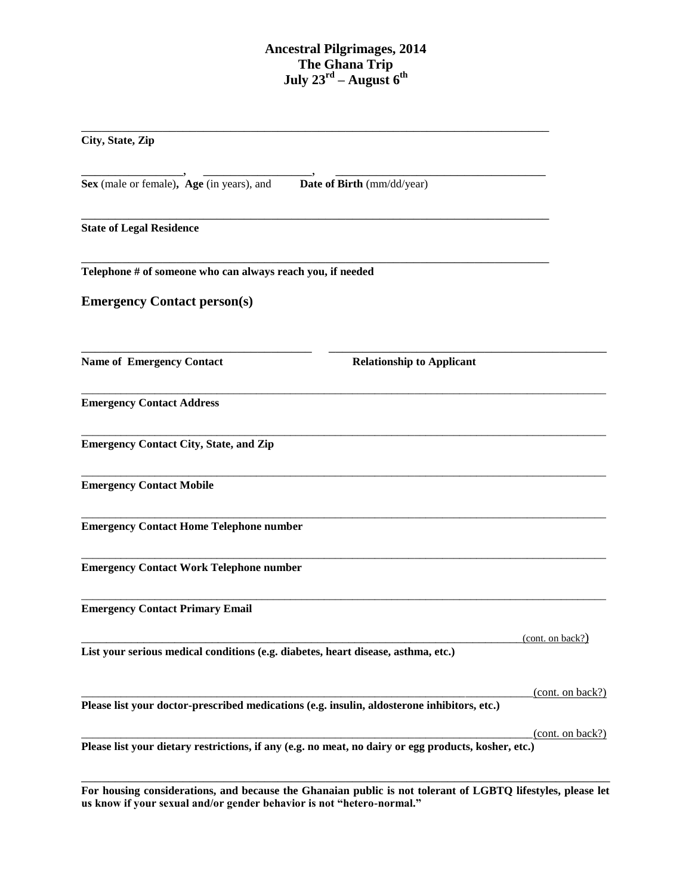\_\_\_\_\_\_\_\_\_\_\_\_\_\_\_\_\_\_\_\_\_\_\_\_\_\_\_\_\_\_\_\_\_\_\_\_\_\_\_\_\_\_\_\_\_\_\_\_\_\_\_\_\_\_\_\_\_\_\_\_\_\_\_\_\_\_\_\_\_

\_\_\_\_\_\_\_\_\_\_\_\_\_\_\_, \_\_\_\_\_\_\_\_\_\_\_\_\_\_\_\_, \_\_\_\_\_\_\_\_\_\_\_\_\_\_\_\_\_\_\_\_\_\_\_\_\_\_\_\_\_\_\_

\_\_\_\_\_\_\_\_\_\_\_\_\_\_\_\_\_\_\_\_\_\_\_\_\_\_\_\_\_\_\_\_\_\_\_\_\_\_\_\_\_\_\_\_\_\_\_\_\_\_\_\_\_\_\_\_\_\_\_\_\_\_\_\_\_\_\_\_\_

\_\_\_\_\_\_\_\_\_\_\_\_\_\_\_\_\_\_\_\_\_\_\_\_\_\_\_\_\_\_\_\_\_\_\_\_\_\_\_\_\_\_\_\_\_\_\_\_\_\_\_\_\_\_\_\_\_\_\_\_\_\_\_\_\_\_\_\_\_

\_\_\_\_\_\_\_\_\_\_\_\_\_\_\_\_\_\_\_\_\_\_\_\_\_\_\_\_\_\_\_\_\_\_ \_\_\_\_\_\_\_\_\_\_\_\_\_\_\_\_\_\_\_\_\_\_\_\_\_\_\_\_\_\_\_\_\_\_\_\_\_\_\_\_\_

\_\_\_\_\_\_\_\_\_\_\_\_\_\_\_\_\_\_\_\_\_\_\_\_\_\_\_\_\_\_\_\_\_\_\_\_\_\_\_\_\_\_\_\_\_\_\_\_\_\_\_\_\_\_\_\_\_\_\_\_\_\_\_\_\_\_\_\_\_\_\_\_\_\_\_\_\_\_\_\_\_\_\_\_\_\_\_\_\_\_\_\_\_

 $\overline{a}$  , and the contribution of the contribution of the contribution of the contribution of the contribution of the contribution of the contribution of the contribution of the contribution of the contribution of the co

 $\overline{a}$  , and the contribution of the contribution of the contribution of the contribution of the contribution of the contribution of the contribution of the contribution of the contribution of the contribution of the co

\_\_\_\_\_\_\_\_\_\_\_\_\_\_\_\_\_\_\_\_\_\_\_\_\_\_\_\_\_\_\_\_\_\_\_\_\_\_\_\_\_\_\_\_\_\_\_\_\_\_\_\_\_\_\_\_\_\_\_\_\_\_\_\_\_\_\_\_\_\_\_\_\_\_\_\_\_\_\_\_\_\_\_\_\_\_\_\_\_\_\_\_\_

 $\overline{a}$  , and the contribution of the contribution of the contribution of the contribution of the contribution of the contribution of the contribution of the contribution of the contribution of the contribution of the co

\_\_\_\_\_\_\_\_\_\_\_\_\_\_\_\_\_\_\_\_\_\_\_\_\_\_\_\_\_\_\_\_\_\_\_\_\_\_\_\_\_\_\_\_\_\_\_\_\_\_\_\_\_\_\_\_\_\_\_\_\_\_\_\_\_\_\_\_\_\_\_\_\_\_\_\_\_\_\_\_\_\_\_\_\_\_\_\_\_\_\_\_\_

| City, State, Zip |  |
|------------------|--|
|                  |  |

**Sex** (male or female)**, Age** (in years), and **Date of Birth** (mm/dd/year)

**State of Legal Residence** 

**Telephone # of someone who can always reach you, if needed** 

**Emergency Contact person(s)**

**Name of Emergency Contact Relationship to Applicant** 

**Emergency Contact Address** 

**Emergency Contact City, State, and Zip**

**Emergency Contact Mobile**

**Emergency Contact Home Telephone number**

**Emergency Contact Work Telephone number**

**Emergency Contact Primary Email**

**List your serious medical conditions (e.g. diabetes, heart disease, asthma, etc.)**

**Please list your doctor-prescribed medications (e.g. insulin, aldosterone inhibitors, etc.)**

 $(cont. on back?)$ 

 $(cont. on back?)$ 

 $(cont. on back?)$ 

**Please list your dietary restrictions, if any (e.g. no meat, no dairy or egg products, kosher, etc.)**

\_\_\_\_\_\_\_\_\_\_\_\_\_\_\_\_\_\_\_\_\_\_\_\_\_\_\_\_\_\_\_\_\_\_\_\_\_\_\_\_\_\_\_\_\_\_\_\_\_\_\_\_\_\_\_\_\_\_\_\_\_\_\_\_\_\_\_\_\_\_\_\_\_\_\_\_\_\_ **For housing considerations, and because the Ghanaian public is not tolerant of LGBTQ lifestyles, please let us know if your sexual and/or gender behavior is not "hetero-normal."**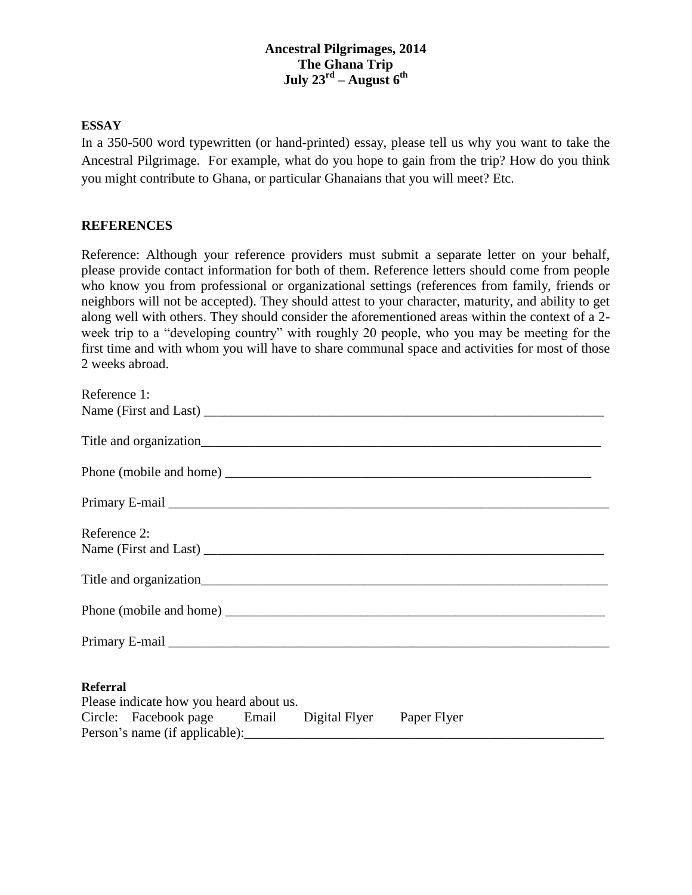### **ESSAY**

In a 350-500 word typewritten (or hand-printed) essay, please tell us why you want to take the Ancestral Pilgrimage. For example, what do you hope to gain from the trip? How do you think you might contribute to Ghana, or particular Ghanaians that you will meet? Etc.

## **REFERENCES**

Reference: Although your reference providers must submit a separate letter on your behalf, please provide contact information for both of them. Reference letters should come from people who know you from professional or organizational settings (references from family, friends or neighbors will not be accepted). They should attest to your character, maturity, and ability to get along well with others. They should consider the aforementioned areas within the context of a 2 week trip to a "developing country" with roughly 20 people, who you may be meeting for the first time and with whom you will have to share communal space and activities for most of those 2 weeks abroad.

| Reference 1:                                               |
|------------------------------------------------------------|
|                                                            |
|                                                            |
|                                                            |
|                                                            |
| Reference 2:                                               |
|                                                            |
|                                                            |
|                                                            |
| <b>Referral</b><br>Please indicate how you heard about us. |
| Circle: Facebook page Email Digital Flyer Paper Flyer      |
|                                                            |